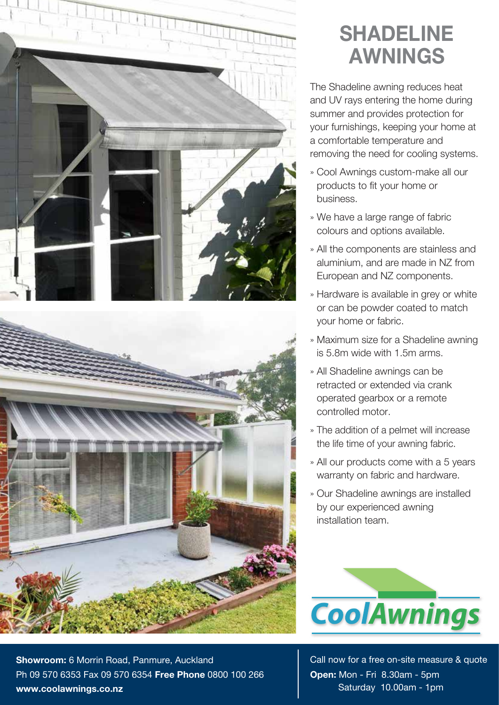

**Showroom:** 6 Morrin Road, Panmure, Auckland Ph 09 570 6353 Fax 09 570 6354 **Free Phone** 0800 100 266 **www.coolawnings.co.nz**

## **SHADELINE AWNINGS**

The Shadeline awning reduces heat and UV rays entering the home during summer and provides protection for your furnishings, keeping your home at a comfortable temperature and removing the need for cooling systems.

- » Cool Awnings custom-make all our products to fit your home or business.
- » We have a large range of fabric colours and options available.
- » All the components are stainless and aluminium, and are made in NZ from European and NZ components.
- » Hardware is available in grey or white or can be powder coated to match your home or fabric.
- » Maximum size for a Shadeline awning is 5.8m wide with 1.5m arms.
- » All Shadeline awnings can be retracted or extended via crank operated gearbox or a remote controlled motor.
- » The addition of a pelmet will increase the life time of your awning fabric.
- » All our products come with a 5 years warranty on fabric and hardware.
- » Our Shadeline awnings are installed by our experienced awning installation team.



Call now for a free on-site measure & quote **Open:** Mon - Fri 8.30am - 5pm Saturday 10.00am - 1pm